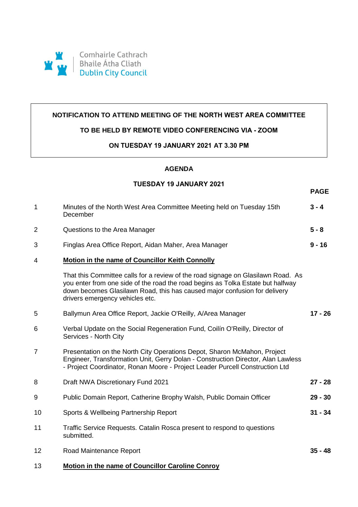

### **NOTIFICATION TO ATTEND MEETING OF THE NORTH WEST AREA COMMITTEE**

### **TO BE HELD BY REMOTE VIDEO CONFERENCING VIA - ZOOM**

#### **ON TUESDAY 19 JANUARY 2021 AT 3.30 PM**

# **AGENDA**

## **TUESDAY 19 JANUARY 2021**

**PAGE**

| $\mathbf 1$    | Minutes of the North West Area Committee Meeting held on Tuesday 15th<br>December                                                                                                                                                                                                   | $3 - 4$   |
|----------------|-------------------------------------------------------------------------------------------------------------------------------------------------------------------------------------------------------------------------------------------------------------------------------------|-----------|
| $\overline{2}$ | Questions to the Area Manager                                                                                                                                                                                                                                                       | $5 - 8$   |
| 3              | Finglas Area Office Report, Aidan Maher, Area Manager                                                                                                                                                                                                                               | $9 - 16$  |
| 4              | <b>Motion in the name of Councillor Keith Connolly</b>                                                                                                                                                                                                                              |           |
|                | That this Committee calls for a review of the road signage on Glasilawn Road. As<br>you enter from one side of the road the road begins as Tolka Estate but halfway<br>down becomes Glasilawn Road, this has caused major confusion for delivery<br>drivers emergency vehicles etc. |           |
| 5              | Ballymun Area Office Report, Jackie O'Reilly, A/Area Manager                                                                                                                                                                                                                        | $17 - 26$ |
| 6              | Verbal Update on the Social Regeneration Fund, Coilin O'Reilly, Director of<br>Services - North City                                                                                                                                                                                |           |
| $\overline{7}$ | Presentation on the North City Operations Depot, Sharon McMahon, Project<br>Engineer, Transformation Unit, Gerry Dolan - Construction Director, Alan Lawless<br>- Project Coordinator, Ronan Moore - Project Leader Purcell Construction Ltd                                        |           |
| 8              | Draft NWA Discretionary Fund 2021                                                                                                                                                                                                                                                   | $27 - 28$ |
| 9              | Public Domain Report, Catherine Brophy Walsh, Public Domain Officer                                                                                                                                                                                                                 | $29 - 30$ |
| 10             | Sports & Wellbeing Partnership Report                                                                                                                                                                                                                                               | $31 - 34$ |
| 11             | Traffic Service Requests. Catalin Rosca present to respond to questions<br>submitted.                                                                                                                                                                                               |           |
| 12             | Road Maintenance Report                                                                                                                                                                                                                                                             | $35 - 48$ |
| 13             | Motion in the name of Councillor Caroline Conroy                                                                                                                                                                                                                                    |           |